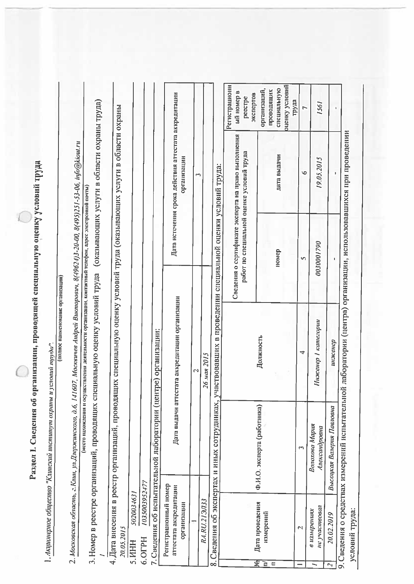Раздел I. Сведения об организации, проводящей специальную оценку условий труда

1. Акционерное общество "Клинский институт охраны и условий труда".

(полное наименование организации)

2. Московская область, г.Клин, ул,Дзержинского, д.6, 141607, Москвичев Андрей Викторович, 8(49624)3-20-00, 8(495)251-53-06, info@kiout.ru

3. Номер в реестре организаций, проводящих специальную оценку условий труда (оказывающих услуги в области охраны труда) (место нахождения и осуществления деятельности организации, контактный телефон, адрес электронной почты)

4. Дата внесения в реестр организаций, проводящих специальную оценку условий труда (оказывающих услуги в области охраны

5020034631 20.05.2015 **S.MHH** 

1035003952477 6.OTPH 7. Сведения об испытательной лаборатории (центре) организации:

|                                                                                                                 |                                                                     |               |                                                                                                           | <b>Регистрационн</b><br>ый номер в<br>peecrpe       | экспертов       | организаций,                | проводящих | специальную | оценку условий | труда |
|-----------------------------------------------------------------------------------------------------------------|---------------------------------------------------------------------|---------------|-----------------------------------------------------------------------------------------------------------|-----------------------------------------------------|-----------------|-----------------------------|------------|-------------|----------------|-------|
|                                                                                                                 | Дата истечения срока действия агтестата аккредитации<br>организации |               |                                                                                                           | Сведения о сертификате эксперта на право выполнения |                 |                             |            | дата выдачи |                |       |
|                                                                                                                 |                                                                     |               |                                                                                                           | работ по специальной оценке условий труда           |                 |                             |            | номер       |                |       |
|                                                                                                                 | Дата выдачи аттестата аккредитации организации                      | 26 мая 2015   | 8. Сведения об экспертах и нных сотрудниках, участвовавших в проведении специальной оценки условий труда: |                                                     |                 | Должность                   |            |             |                |       |
| .uurupcunadhii dhii hahii hahii hahii hahii hahii hahii hahii hahii hahii hahii hahii hahii hahii hahii hahii h |                                                                     |               |                                                                                                           |                                                     |                 | Ф.И.О. эксперта (работника) |            |             |                |       |
|                                                                                                                 | Регистрационный номер<br>аттестата аккредитации<br>организации      | RA.RU.213/133 |                                                                                                           |                                                     | Дата проведения | нзмерений                   |            |             |                |       |
|                                                                                                                 |                                                                     |               |                                                                                                           |                                                     | ত্ৰ             |                             |            |             |                |       |

9. Сведения о средствах измерений испытательной лаборатории (центра) организации, использовавшихся при проведении условий труда:

1561

19.05.2015

0030001790

Инженер 1 категории

 $\overline{a}$ 

инженер

Высоцкая Валерия Павловна

Волохова Мария Александровна

не участвовал в измерениях

 $\equiv$ 

 $\mathbf{\tilde{c}}$ 

20.02.2019

 $\overline{z}$ 

5

 $\ddot{\bullet}$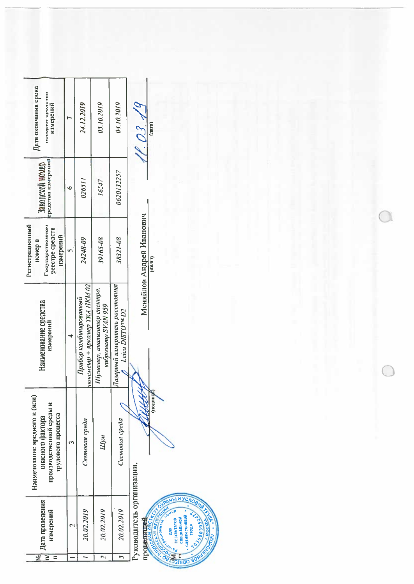| Дата окончания срока<br>поверки средства<br>-<br>-<br>- H3MEDCHHA                                   | $\overline{ }$ | 24.12.2019                                                 | 03.10.2019                                         | 04.10.2019                 | $\boldsymbol{\mathcal{C}}$<br>(n <sub>tr</sub> )<br>23                                                                                                                                                       |  |
|-----------------------------------------------------------------------------------------------------|----------------|------------------------------------------------------------|----------------------------------------------------|----------------------------|--------------------------------------------------------------------------------------------------------------------------------------------------------------------------------------------------------------|--|
| средства измерений<br>Заводской номер                                                               | $\ddot{\circ}$ | 026511                                                     | 16547                                              | 0620132257                 |                                                                                                                                                                                                              |  |
| Регистрационный<br>Государственном<br>реестре средств<br>нзмерений<br>номер в                       | $\sqrt{2}$     | 24248-09                                                   | 39165-08                                           | 38321-08                   | Меняйлов Андрей Иванович<br>(0 10)                                                                                                                                                                           |  |
| Наименование средства<br>измерений                                                                  | ₹              | + яркомер ТКА ПКМ 02<br>Прибор комбинированный<br>поксметр | Шумомер, анализатор спектра,<br>enoponemp SVAN 959 |                            |                                                                                                                                                                                                              |  |
| Наименование вредного и (или)<br>производственной среды и<br>трудового процесса<br>опасного фактора | $\mathfrak{m}$ | Световая среда                                             | Шум                                                | Световая среда             | <b>CHITION</b>                                                                                                                                                                                               |  |
| Дата проведения<br>нзмерений<br>ৰ্ছ<br>$\geq$<br>$\equiv$                                           | $\sim$         | 20.02.2019<br>-                                            | 20.02.2019<br>$\mathcal{L}$                        | 20.02.2019<br>$\mathbf{r}$ | Руководитель организации,<br><b>ANTIQUARISM YONOGRAPS</b><br><b>CONSTRUCTION SECTION</b><br><b>Elistation Control City</b><br>• оценки условий<br><b>CONSIGUIDAD</b><br><b>ESCRIPTION AND READ PROPERTY.</b> |  |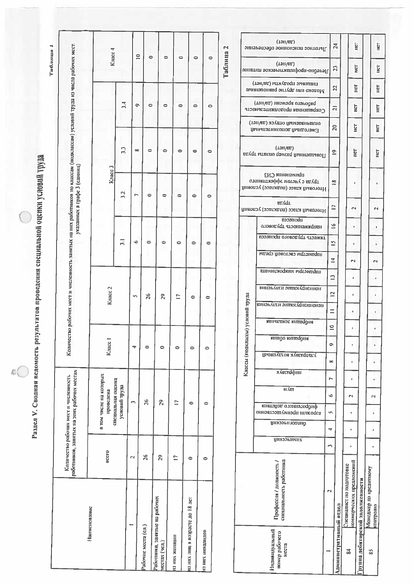Раздел V. Сводная всдомость результатов проведения специальной оценки условий труда

 $(L2H/H)$ Колнчество рабочих мест и численность занятых на них работников по классам (подклассам) условий труда из числа рабочих мест, Габлица 1 Таблица 2 Knacc 4  $\subseteq$  $\bullet$  $\Rightarrow$  $\circ$  $\bullet$  $\ddot{\phantom{a}}$  $(Lan/nu)$  $3.4$  $\bullet$  $\circ$  $\ddot{\phantom{a}}$  $\ddot{\phantom{a}}$  $\sim$  $\sim$  $(L<sub>2H/ET</sub>)$  $\frac{3}{2}$  $\Rightarrow$  $\infty$  $\rightarrow$  $\bullet$  $\Rightarrow$  $\ddot{\phantom{1}}$ указанных в графе 3 (единиц) Knacc<sub>3</sub>  $3.2$  $\bullet$  $\Rightarrow$  $\triangleright$  $\Rightarrow$  $\bullet$  $\bullet$ un Adı. mponecca  $\overline{5}$  $\ddot{\circ}$  $\Rightarrow$  $\Rightarrow$  $\Rightarrow$  $\bullet$  $\bullet$ **Suacc 2** Классы (подклассы) условий труда  $26$ 29 **in**  $\tilde{c}$  $\bullet$  $\ddot{\phantom{1}}$ Knacc 1  $\bullet$  $\overline{a}$  $\blacksquare$  $\bullet$  $\bullet$  $\bullet$ млясеффин аботников, занятых на этих рабочих местах в том числе на которых Количество рабочих мест и численность специальная оценка<br>условий труда **WÁIT** проведена 26  $\mathbf{r}$ 29  $\overline{C}$  $\ddot{\phantom{a}}$  $\circ$ **UHNOOHHIVHX** BCCITO  $26$  $\mathbf{\hat{z}}$  $29$  $\mathbf{r}$  $\bullet$  $\ddot{\phantom{a}}$ Профессия / должность / специальность работника аботники, заиятые на рабочих з них лиц в возрасте до 18 лет Нанменование абочне места (сд.) га них инвалидов з них женщин (чел.) места

HCT HICT  $24$ Льготное пенсионное обеспечение Het HUT  $\overline{23}$ Лечебно-профилактнческое питание пиппевте протекти (таднет) E HЕТ  $\overline{2}$ Молоко или другие равноценные (дан/ви) инакада одањода E Heff Сокращениям продолжительность  $\overline{z}$ оцияанваеити однок (тамист)  $\overline{a}$ Her LET Вжегодный дополнительный  $\tilde{=}$ E Her Повышенный размер оплаты труда пригленения СИЗ труда с учетом эффективного  $\stackrel{\text{oo}}{=}$ j. Ŷ. Итоговый класс (подкласс) условий  $\Box$  $\mathbf{\tilde{c}}$  $\overline{\mathbf{N}}$ Итоговый класс (подкласс) условий оловой установления  $\leq$ à. тяжесть трудового процесса h i, HapaMetpu caeroaofi cpeau.  $\overline{\mathbf{z}}$  $\sim$  $\mathbf{r}$ параметры мнирокината ë винаь Ален энток Афисипон  $\overline{2}$ k, Ŷ. випонации энциклапедионон  $\equiv$  $\mathbf{r}$  $\bar{1}$ випитаноп кишефин  $\subseteq$  $\hat{\mathbf{r}}$ k. **RBILOO RHILOQUIE**  $\circ$ ï ٠ Ультравук воздушный 59  $\overline{\phantom{a}}$  $\mathbf{r}$ ï G  $\sim$  $\mathbb{R}^2$ проротенного действия maloamant ubturnaturous ŝ, Î,  $\ddot{\phantom{a}}$ рнологический 4 ï  $\mathbf{r}$  $\overline{\phantom{a}}$  $\ddot{\phantom{a}}$ оммерческих предложений Специалист по подготовке Менеджер по кредитному<br>контролю рушна дебиторской задолженности  $\overline{N}$ дминистративный отдел Нидивидуальный<br>номер рабочего  $\overline{3}$  $58$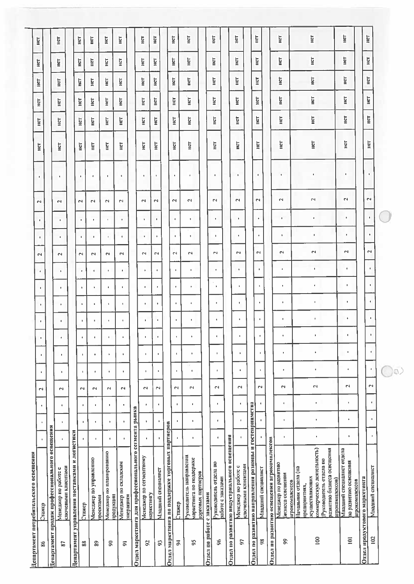|                            | Департамент потребительского освещения                                                                                                                                  |                      |                      |                |                          |                         |                |                                      |                                   |                |                |                         |                |                |                         |                      |            |             |      |             |             |             |  |
|----------------------------|-------------------------------------------------------------------------------------------------------------------------------------------------------------------------|----------------------|----------------------|----------------|--------------------------|-------------------------|----------------|--------------------------------------|-----------------------------------|----------------|----------------|-------------------------|----------------|----------------|-------------------------|----------------------|------------|-------------|------|-------------|-------------|-------------|--|
| 96                         | Стажер                                                                                                                                                                  | ٠                    | $\mathbf{r}$         | $\mathbf{I}$   | N                        | $\blacksquare$          | ٠              | $\blacksquare$<br>J,                 |                                   |                | <b>t</b>       | $\sim$                  | $\blacksquare$ | $\blacksquare$ | $\sim$                  | ۰                    | Ĕ          | E           | нет  | <b>HELL</b> | E           | Ë           |  |
|                            | Департамент продаж профессионального освещения                                                                                                                          |                      |                      |                |                          |                         |                |                                      |                                   |                |                |                         |                |                |                         |                      |            |             |      |             |             |             |  |
| 57                         | спочевыми клиентами<br>Менеджер по работе с                                                                                                                             | ٠                    | ٠                    |                | $\mathbf{r}$             | ٠                       | ٠              | ٠<br>٠                               | $\blacksquare$                    | $\mathbf{I}$   | $\mathbf{r}$   | $\sim$                  | ٠              | $\bullet$      | $\sim$                  | $\mathbf{I}$         | E          | HСТ         | E    | ilici       | ĔΕ          | HCT         |  |
|                            | Денартамент управления поставками и логистики                                                                                                                           |                      |                      |                |                          |                         |                |                                      |                                   |                |                |                         |                |                |                         |                      |            |             |      |             |             |             |  |
| 88                         | Стажер                                                                                                                                                                  |                      |                      | ٠              | $\sim$                   | ٠                       | $\blacksquare$ | $\mathbf{F}$<br>$\pmb{\mathfrak{g}}$ | $\mathbf{r}$                      | $\mathbf{I}$   | $\bullet$      | $\sim$                  | $\mathbb{I}$   | $\bullet$      | $\overline{\mathbf{c}}$ | ٠                    | Het        | HET         | Het  | HET         | hcl         | HET         |  |
| $\frac{6}{20}$             | Менеджер по управлению<br>просктами                                                                                                                                     | $\blacksquare$       | $\blacksquare$       | ٠              | $\sim$                   | ×                       | $\pmb{\theta}$ | $\mathbf{L}$<br>$\blacksquare$       | ٠                                 | $\mathbf{r}$   | $\blacksquare$ | $\overline{\mathbf{r}}$ | $\mathbf{1}$   | $\blacksquare$ | $\overline{\mathbf{r}}$ | $\mathbf{I}$         | HΕT        | Het         | IRT  | HET         | <b>Fig1</b> | HCT         |  |
| $\pmb{\mathcal{S}}$        | Менеджер по планированию<br>продукции                                                                                                                                   | $\blacksquare$       | f.                   | J.             | $\sim$                   | $\mathbf{f}_\mathrm{c}$ | $\mathbf{F}$   | $\mathbf{C}$<br>$\mathbf{t}$         | $\Phi$                            | $\mathbf{E}$   | $\mathbf{C}$   | $\mathbf{r}$            | $\mathbf{E}$   | $\mathbf{u}$   | $\sim$                  | ٠                    | HCT        | Hет         | ΗÈΤ  | Ë           | Hет         | HCT         |  |
| ă                          | Менеджер по складским<br>энерациям                                                                                                                                      | $\blacksquare$       | $\mathbf{r}$         | $\bullet$      | $\overline{\phantom{0}}$ | $\mathbf{R}$            | $\blacksquare$ | $\mathbf{I}$<br>٠                    | $\blacksquare$                    | $\mathbf{I}$   | $\mathbf{F}$   | $\mathbb{R}^2$          | $\mathbf{f}$ . | $\mathbf{F}$   | $\mathbb{R}^2$          | ٠                    | ÌБ         | Hет         | incl | ¥           | ĒΕ          | <b>Fall</b> |  |
|                            | Отдел маркстинга для профессионального сегмента рынка                                                                                                                   |                      |                      |                |                          |                         |                |                                      |                                   |                |                |                         |                |                |                         |                      |            |             |      |             |             |             |  |
| 50                         | Испеджер по сегментному<br>маркетнигу                                                                                                                                   | ٠                    | ٠                    | $\blacksquare$ | $\sim$                   | ٠                       | $\blacksquare$ | t.<br>٠                              | $\blacksquare$                    | $\blacksquare$ | $\,$           | $\overline{\mathbf{r}}$ | $\mathbf{L}$   | $\blacksquare$ | $\sim$                  | ٠                    | HСТ        | Hет         | IΕT  | Her         | ĮН          | E           |  |
| $\mathfrak{D}$             | Иладный специалист                                                                                                                                                      |                      | ٠                    |                | $\mathbf{r}$             |                         | ٠              | ٠<br>٠                               | ٠                                 | $\mathbf{F}$   | $\blacksquare$ | $\overline{2}$          | $\mathbf{F}$   | ٠              | $\mathbf{r}$            |                      | HЩ         | HET         | ĮΠ   | HCT         | ĮЭH         | HCT         |  |
|                            | Отдел маркетинга по поддержке торговых нартнеров                                                                                                                        |                      |                      |                |                          |                         |                |                                      |                                   |                |                |                         |                |                |                         |                      |            |             |      |             |             |             |  |
| Z                          | Стажер                                                                                                                                                                  |                      |                      | ٠              | $\mathbf{\tilde{c}}$     | ٠                       | $\blacksquare$ | $\mathbf{I}$                         | $\blacksquare$                    | $\,$           | $\bullet$      | $\overline{\mathbf{c}}$ | $\mathbf{t}$   | $\epsilon$     | $\sim$                  | $\mathbf{r}$         | Ë          | <b>FILL</b> | HET  | HЕТ         | liετ        | HCT         |  |
| 50                         | уководитель направления<br>маркетнига по поддержке<br>горговых нартнеров                                                                                                | $\mathbf{t}$         | $\mathbf{I}$         | $\blacksquare$ | $\overline{\mathbf{r}}$  | $\pmb{\mathfrak{g}}$    | ٠              | $\mathbf{I}$<br>$\pmb{\mathfrak{g}}$ | $\blacksquare$                    | ٠,             | ٠              | $\overline{\mathbf{r}}$ | $\mathbf{f}$   | ٠              | $\mathbf{z}$            | ٠                    | Ë          | <b>ERE</b>  | ĬΩ   | HET         | HET         | E           |  |
| Отдел по работе с заказами |                                                                                                                                                                         |                      |                      |                |                          |                         |                |                                      |                                   |                |                |                         |                |                |                         |                      |            |             |      |             |             |             |  |
| 96                         | Руководитель отдела по<br>работе с заказами                                                                                                                             | $\pmb{\ast}$         | $\blacksquare$       | $\Phi$         | $\mathbf{r}$             | ٠                       | ٠              | $\blacksquare$                       | $\bullet$<br>$\ddot{\phantom{a}}$ | $\blacksquare$ | $\mathbf{f}$   | $\overline{\mathbf{r}}$ | ٠              | $\mathbf{I}$   | $\sim$                  | $\blacksquare$       | Ĕ          | ilici       | ĒΕ   | iπ          | list        | Iali        |  |
|                            | Отдел по развитию индустриального освещения                                                                                                                             |                      |                      |                |                          |                         |                |                                      |                                   |                |                |                         |                |                |                         |                      |            |             |      |             |             |             |  |
| 5                          | ключевыми клиентами<br>Менеджер но работе с                                                                                                                             | $\mathsf I$          | $\pmb{\mathfrak{g}}$ | $\blacksquare$ | $\sim$                   | ٠                       | $\mathfrak{g}$ | $\pmb{\mathfrak{t}}$                 | $\blacksquare$<br>$\mathbf{t}$    | $\mathbf{r}$   | $\mathbf{I}$   | $\mathbf{r}$            | ٠              | $\mathbf{r}$   | $\sim$                  | $\ddot{\phantom{1}}$ | <b>FET</b> | Ìй          | нq   | ĪΔ          | Hет         | HeT         |  |
|                            | Отдел по развитию направления розницы и гостепринмства                                                                                                                  |                      |                      |                |                          |                         |                |                                      |                                   |                |                |                         |                |                |                         |                      |            |             |      |             |             |             |  |
| 98                         | Младший специалист                                                                                                                                                      | $\,$                 | $\blacksquare$       | $\blacksquare$ | $\sim$                   |                         | J.             | ٠                                    | $\mathbf{I}$<br>$\mathbf{I}$      | $\bullet$      | ٠              | $\sim$                  | $\blacksquare$ | $\bullet$      | $\sim$                  | $\epsilon$           | Hет        | HET         | HET  | нqг         | нeт         | HET         |  |
|                            | Отдел по развитию освещения агрокомплексов                                                                                                                              |                      |                      |                |                          |                         |                |                                      |                                   |                |                |                         |                |                |                         |                      |            |             |      |             |             |             |  |
| ଛ                          | Менеджер по развитию<br>бизнеса освещения<br>агрокомплексов                                                                                                             | $\mathbf{I}$         | ٠                    | ٠              | $\overline{\phantom{0}}$ | $\mathbf{r}$            | $\mathbf{R}$   | $\blacksquare$                       | $\mathbf{E}$<br>$\mathbf{I}$      | $\mathbf{b}$   | $\mathbf{1}$   | $\mathfrak{a}$          | $\mathbf{I}$   | $\mathbf{u}$   | $\mathbf{r}$            | $\blacksquare$       | Ìй         | Hет         | ist  | lict        | Ē           | HET         |  |
| 100                        | соммерческую деятельность)<br>здавитию бизнеса освещения<br>Руководитель отдела по<br>- ачальник отдела (на<br><b>жуществляющих</b><br>прокомилексов)<br>предпринятиях, | $\,$                 | ٠                    | ×              | $\sim$                   | $\mathbf{I}$            | $\bullet$      | $\mathbf{r}$                         | $\bullet$<br>$\mathbf{r}$         | $\blacksquare$ | $\mathbf{F}$   | $\sim$                  | $\blacksquare$ | $\blacksquare$ | $\mathbf{r}$            |                      | iя         | Hет         | llet | Ē           | ĒΕ          | HET         |  |
| $\overline{0}$             | Иладший специалист отдела<br>ю развитию освещения<br>пгрокомплексов                                                                                                     | ٠                    | $\bullet$            | ×              | $\mathbf{r}$             | $\pmb{\ast}$            | $\mathbf{I}$   | $\mathbf{t}$                         | $\mathbf{r}$<br>٠                 | $\blacksquare$ | $\mathbf{0}$   | $\sim$                  | ٠              | $\mathbf{L}$   | $\mathbf{\tilde{c}}$    | ٠                    | Ìй         | Hет         | ļμ   | jη          | īα          | нет         |  |
|                            | Отдел продуктового маркетинга                                                                                                                                           |                      |                      |                |                          |                         |                |                                      |                                   |                |                |                         |                |                |                         |                      |            |             |      |             |             |             |  |
| 102                        | Младший специалист                                                                                                                                                      | $\pmb{\mathfrak{g}}$ | $\blacksquare$       | $\blacksquare$ | $\sim$                   | ٠                       | ٠              |                                      | $\blacksquare$<br>٠               | ٠              | $\mathbf{I}$   | $\overline{\mathbf{c}}$ | ٠              | $\mathbf{I}$   | $\overline{\mathbf{c}}$ | ٠                    | HET        | HUT         | HET  | HET         | Hет         | HCT         |  |
|                            |                                                                                                                                                                         |                      |                      |                |                          | $\Omega$                |                |                                      |                                   |                |                |                         |                |                |                         |                      |            |             |      |             |             |             |  |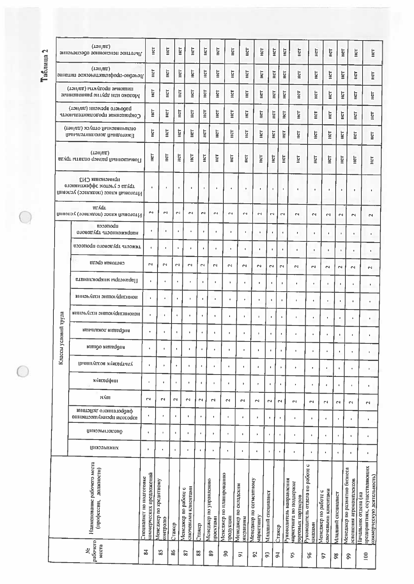Таблица 2

 $\overline{C}$ 

 $\bigcirc$ 

|               | (LəII/III)<br>личнос пененонное обеспечение                                       | ĪΩ                                                   | <b>SET</b>                         |                | E<br>ē                                      | ĬΩ                   | E                                   | lic                                   | Hет                                | Ë                                    |                             | Hст                     | E<br><b>SE</b>                                                           | HСТ                                        | <b>HCT</b>                                  |                         | Ц<br>Her                                                 | Her                                                                                |
|---------------|-----------------------------------------------------------------------------------|------------------------------------------------------|------------------------------------|----------------|---------------------------------------------|----------------------|-------------------------------------|---------------------------------------|------------------------------------|--------------------------------------|-----------------------------|-------------------------|--------------------------------------------------------------------------|--------------------------------------------|---------------------------------------------|-------------------------|----------------------------------------------------------|------------------------------------------------------------------------------------|
|               | (LəII/III)<br>Лечебно-профилактическое питание                                    | ĒЧ                                                   | lic                                |                | Her<br>iicT                                 | Hет                  | <b>Tall</b>                         | HCT                                   | HUT                                | HСТ                                  |                             | HET                     | ELCT<br>ĒЕ                                                               | E                                          | <b>SHET</b>                                 |                         | lier<br><b>SET</b>                                       | Hет                                                                                |
|               | шиптеври ubottARLPI (таунет)<br>молоко нап иругие равнопенные                     | in.                                                  | HСТ                                |                | HCT<br>HCT                                  | Her                  | <b>SE</b>                           | Hет                                   | E                                  | iπ                                   |                             | HЩ                      | Ìй<br>HСТ                                                                | Her                                        | Ĩή                                          |                         | Ë<br>ĒΕ                                                  | Ë                                                                                  |
|               | (дэнди) шиэкэdа олэнодиd<br>Сокращенная продолжненность                           | lici                                                 | нет                                |                | E<br>H¢T                                    | HCT                  | IICT                                | <b>Noll</b>                           | ECT                                | Her                                  | Hет                         |                         | Het<br>Ë                                                                 | E                                          | E                                           |                         | E<br>E                                                   | E                                                                                  |
|               | оплачиваемый отпуск (да/нет)<br>Ежегодный дополнительный                          | ш                                                    | HUT                                |                | Ш<br>lict                                   | Hет                  | iisL                                | E.                                    | Ë                                  | <b>HET</b>                           | light                       |                         | HeT<br>iici                                                              | HСТ                                        | HCT                                         | iη                      | ia<br>Ho                                                 | H¢T                                                                                |
|               | (LJII/IR)<br>Повышенный размер оплаты труда                                       | E                                                    | <b>Light</b>                       | Her            | E                                           | нет                  | E                                   | Ш                                     | <b>NH</b>                          | <b>HST</b>                           | <b>Edit</b>                 |                         | E<br>Ë                                                                   | Įан                                        | Н¢Т                                         | Ìй                      | HCT                                                      | E                                                                                  |
|               | приглении СИЗ<br>отонантизффе мотэку э адурт<br>Итоговый класс (подкласс) условий | ¢                                                    | ٠                                  |                | ٠                                           | í.                   | ×                                   | ٠                                     | ٠                                  | ï                                    | $\mathbf{I}$                | <b>g</b>                | ٠                                                                        | $\mathbf{I}$                               | ×                                           | ï                       | $\mathbf{I}$                                             | $\mathbf{I}$                                                                       |
|               | <b>BIGGL</b><br>Итоговый класс (подкласс) условий                                 | N                                                    | $\overline{\mathbf{c}}$            | $\sim$         | $\sim$                                      | $\mathbf{r}$         | $\mathbf{\mathsf{N}}$               | $\sim$                                | $\sim$                             | $\sim$                               | $\mathbf{\Omega}$           | $\mathbf{\sim}$         | $\sim$                                                                   | $\mathbf{\sim}$                            | $\mathbf{\Omega}$                           | $\sim$                  | $\sim$                                                   | $\sim$                                                                             |
|               | uboriecen<br>этоводург атэонножвенин                                              | ٠                                                    | $\blacksquare$                     |                | ×                                           | $\mathbf{r}$         | $\mathfrak{g}$                      | $\mathbf{r}$                          | ı                                  | ł.                                   | $\blacksquare$              |                         | J.                                                                       | t.                                         | t.                                          | ×                       | $\mathbf{r}$                                             | t.                                                                                 |
|               | аэээноqп отонолуqт атээжкт                                                        | $\mathbf{I}$                                         | $\mathfrak{g}$                     | $\mathbf{I}$   | $\mathbf{r}$                                | $\mathbf{I}$         | $\pmb{\mathfrak{g}}$                | $\mathbf{r}$                          | $\mathbf{I}$                       | $\blacksquare$                       | ٠                           |                         | $\blacksquare$                                                           | $\mathbf t$                                | $\pmb{\cdot}$                               | ×.                      | $\mathbf{I}$                                             | $\mathbf{t}$                                                                       |
|               | enda Readras                                                                      | N                                                    | $\mathbb{N}$                       | $\mathbb{N}$   | $\sim$                                      | $\mathbf{\tilde{c}}$ | $\mathbb{N}$                        | N                                     | $\sim$                             | $\mathbf{\sim}$                      | $\sim$                      | $\mathbf{r}$            | $\mathbf{r}$                                                             | $\mathbb{R}^4$                             | $\sim$                                      | $\mathbf{\tilde{c}}$    | $\overline{\phantom{0}}$                                 | $\overline{\mathbf{c}}$                                                            |
|               | Параметры мнироклимата                                                            | ۰                                                    | ¢                                  | $\mathbf{t}$   | J.                                          | ×,                   | ¢,                                  | $\mathbf{I}$                          | $\blacksquare$                     | ٠                                    | $\mathfrak{g}$              | f,                      | $\mathbf{t}$                                                             | $\pmb{\ast}$                               | $\mathbf{r}$                                | $\mathbf{r}$            | ŧ.                                                       | ٠                                                                                  |
|               | виноклити энциолационной                                                          | $\ddot{\phantom{a}}$                                 | $\blacksquare$                     | ¢              | $\mathbf{r}$                                | $\blacksquare$       | $\blacksquare$                      | ×,                                    | ٠                                  |                                      | $\mathbf{I}$                | $\ddot{\bullet}$        | $\blacksquare$                                                           | $\pmb{\ast}$                               | $\blacksquare$                              | $\mathbf{r}$            | t.                                                       | ×                                                                                  |
|               | винакально энционационаци                                                         | $\hat{\mathbf{r}}$                                   | $\mathfrak{g}$                     | $\mathfrak{g}$ | $\mathbf{r}$                                |                      | $\ddot{\bullet}$                    | $\mathbf{r}$                          | ŧ.                                 | $\ddot{\bullet}$                     | $\mathfrak{g}$              | $\mathfrak{g}$          | ł                                                                        | ٠                                          | $\mathbf t$                                 | $\mathbf{r}$            | ٠                                                        | ¢                                                                                  |
| условий труда | ванальной випаддна                                                                | $\pmb{\ast}$                                         | ٠                                  | $\mathfrak{q}$ | $\mathbf{I}$                                | $\mathbf{I}$         | $\mathbf{f}$                        | $\pmb{\mathfrak{g}}$                  | ٠                                  | ×                                    | $\mathfrak{g}$              | $\mathbf{F}$            | $\mathfrak{g}$                                                           | ٠                                          | ×                                           | t.                      | $\mathbf{t}$                                             | ٠                                                                                  |
|               | кетоо китефие                                                                     |                                                      |                                    |                |                                             |                      |                                     | ٠                                     | $\pmb{\ast}$                       | $\,$                                 | $\mathfrak{g}$              | ٠                       | $\,$                                                                     | k                                          | $\pmb{\epsilon}$                            | f,                      | $\blacksquare$                                           | ٠                                                                                  |
| Классы        | Ультравук воздушный                                                               | $\pmb{\ast}$                                         | $\ddot{\bullet}$                   | ٠              | $\mathbf{r}$                                | $\mathbf{I}$         | ٠                                   | $\mathbf{r}$                          | $\mathbf{r}$                       | $\mathbf{r}$                         | $\blacksquare$              | ¢                       | $\ddot{\phi}$                                                            | ٠                                          | $\blacksquare$                              | $\mathbf{I}$            | $\blacksquare$                                           | $\mathbf I$                                                                        |
|               | ллегефин                                                                          | $\mathbf{t}$                                         | $^\dagger$                         | Ċ              | $\pmb{\ast}$                                | $\pmb{\epsilon}$     | J.                                  | $\blacksquare$                        | ¥.                                 | ×                                    | $\mathfrak{g}$              | í.                      | ×                                                                        | $\mathfrak{b}$                             | $\mathfrak{g}$                              | ٠                       | ¢                                                        | $\mathbf{I}$                                                                       |
|               | к∡п                                                                               | $\sim$                                               | N                                  | ы              | $\sim$                                      | $\sim$               | $\sim$                              | $\mathbf{\hat{z}}$                    | $\mathbf{r}$                       | $\sim$                               | $\sim$                      | $\overline{\mathbf{c}}$ | 2                                                                        | $\mathbf{r}$                               | $\mathbb{R}^4$                              | $\overline{\mathbf{c}}$ | $\sim$                                                   | N                                                                                  |
|               | инатэйэд отоннэтоддиф<br>аэрозори пренидирально                                   | $\mathfrak{g}$                                       | ł                                  |                | ı.                                          | ٠                    | ×                                   | $\mathbf{t}$                          | $\mathbf{r}$                       | ŧ                                    | $\mathbf t$                 | $\mathbf{r}$            | ×                                                                        | j.                                         | $\mathbf{t}$                                | $\mathfrak{g}$          | $\bullet$                                                | $\pmb{\ast}$                                                                       |
|               | пиознитоконо                                                                      | $\mathbf t$                                          | $\mathfrak{p}$                     |                | $\pmb{\ast}$                                | ٠                    | ×                                   | $\blacksquare$                        | $\pmb{\mathfrak{h}}$               | $\mathfrak{g}$                       | $\pmb{\epsilon}$            | b.                      | $\mathbf{r}$                                                             | $\mathbf{r}$                               | $\mathbf{t}$                                | $\mathfrak{g}$          | $\hat{\mathbf{u}}$                                       | $\mathfrak{g}$                                                                     |
|               | <b>ЦНЯЗЭМИЗНХ</b>                                                                 | $\mathbf{I}$                                         | $\mathfrak{g}$                     | <b>I</b>       | $\mathbf{r}$                                | $\mathfrak{g}$       | ı.                                  | Ţ                                     | $\mathbf{r}$                       | $\hat{\mathbf{v}}$                   | $\pmb{\mathsf{r}}$          | $\ddot{\phi}$           | ٠                                                                        | $\mathfrak b$                              | $\pmb{\mathfrak{g}}$                        | $\bullet$               | $\blacksquare$                                           | $\blacksquare$                                                                     |
|               | Наименование рабочего места<br>(профессии, должности)                             | соммерческих предложений<br>Специалист по подготовке | Менеджер по кредитному<br>сонтролю | Стажер         | спочевыми клиентами<br>Менеджер по работе с | Стажер               | Менеджер по управлению<br>проектами | Менеджер по планированию<br>продукции | Менеджер по складским<br>эперациям | Испеджер по сегментному<br>аркетнигу | Иладший специалист          | Стажер                  | уководитель направления<br>наркетнига по поддержке<br>порговых нартиеров | уководитель отдела по работе с<br>наказами | спючевыми клиентами<br>Менеджер по работе с | Иладший специалист      | Менеджер по развитию бизнеса<br>освещения агрокомплексов | предприятиях, осуществляющих<br>коммерческую деятельность)<br>Іачальник отдела (на |
|               | рабочего<br>MCCTa<br>Ż                                                            | $\overline{84}$                                      | 55                                 | 86             | 28                                          | 88                   | S9                                  | 50                                    | $\overline{a}$                     | 52                                   | $\boldsymbol{\mathfrak{S}}$ | $\vec{a}$               | 56                                                                       | 96                                         | 5                                           | 98                      | $\mathbf{\hat{g}}$                                       | 100                                                                                |
|               |                                                                                   |                                                      |                                    |                |                                             |                      |                                     |                                       |                                    |                                      |                             |                         |                                                                          |                                            |                                             |                         |                                                          |                                                                                    |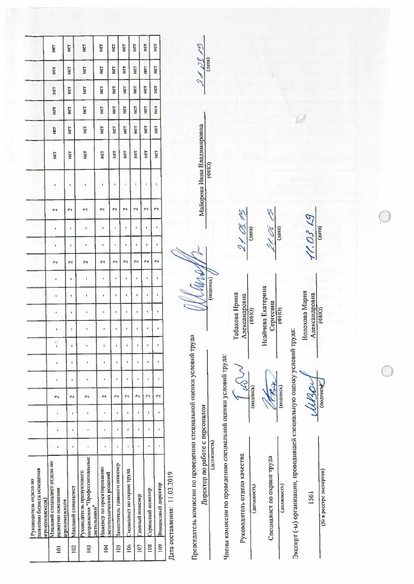|                        |                                               | HCT                          |                                     | HCT                      | <b>EQ</b>                                                                 | Ë                                                     | <b>Edit</b>                  | HCT                                                 | HET             | HСТ                  | <b>light</b>                                        |                              | 21/8/9                                                                                                  |             |                                                                |                                 |           |
|------------------------|-----------------------------------------------|------------------------------|-------------------------------------|--------------------------|---------------------------------------------------------------------------|-------------------------------------------------------|------------------------------|-----------------------------------------------------|-----------------|----------------------|-----------------------------------------------------|------------------------------|---------------------------------------------------------------------------------------------------------|-------------|----------------------------------------------------------------|---------------------------------|-----------|
|                        |                                               | HCT                          |                                     | <b>NSI</b>               | Her                                                                       | E                                                     | Hст                          | HET                                                 | HCT             | iicT                 | HCT                                                 |                              |                                                                                                         |             |                                                                |                                 |           |
|                        |                                               | Her                          |                                     | HCT                      | Ìй                                                                        | <b>ES</b>                                             | Ϊā                           | <b>Loll</b>                                         | <b>Dall</b>     | Îδ                   | Ë                                                   |                              |                                                                                                         |             |                                                                |                                 |           |
|                        |                                               | HCT                          |                                     | <b>RET</b>               | lin.                                                                      | Ë                                                     | E                            | HCT                                                 | <b>IRCL</b>     | ÌЙ                   | E                                                   |                              |                                                                                                         |             |                                                                |                                 |           |
|                        |                                               | HET                          |                                     | HСТ                      | E                                                                         | E                                                     | ļΕ                           | lici                                                | HCT             | Her                  | Ë                                                   |                              |                                                                                                         |             |                                                                |                                 |           |
|                        |                                               | HЕТ                          |                                     | HET                      | HЕТ                                                                       | HCT                                                   | Het                          | llet                                                | HCT             | HUT                  | Ē                                                   |                              |                                                                                                         |             |                                                                |                                 |           |
|                        |                                               | ¢                            |                                     | đ                        |                                                                           |                                                       | ¢                            | ł                                                   | ţ               |                      | f                                                   |                              | Майорова Инна Владимировна                                                                              | (0H0)       |                                                                |                                 |           |
|                        |                                               | 2                            |                                     | $\overline{\mathcal{L}}$ | 2                                                                         | $\mathbf{\tilde{c}}$                                  | 2                            | $\mathbf{\tilde{c}}$                                | N               | $\mathbf{\hat{z}}$   | $\mathbf{\hat{z}}$                                  |                              |                                                                                                         |             |                                                                |                                 |           |
|                        |                                               | ń                            |                                     | f,                       | ı                                                                         | f,                                                    | $\blacksquare$               | ŧ                                                   | $\mathbf{I}$    | $\blacksquare$       | ¢                                                   |                              |                                                                                                         |             |                                                                | $2100 + 25$                     | (nara)    |
|                        |                                               | ó                            |                                     | ¢                        | ŧ                                                                         | ¢                                                     | þ,                           | j.                                                  | f,              | j.                   | $\mathbf{I}$                                        |                              |                                                                                                         |             |                                                                |                                 |           |
|                        |                                               | $\mathbf{\hat{z}}$           |                                     | $\mathbf{\hat{z}}$       | $\mathbf{\mathsf{r}}$                                                     | $\mathbf{\tilde{c}}$                                  | $\mathbb{N}$                 | $\mathbf{\hat{z}}$                                  | $\mathbb{R}^3$  | $\mathbf{\tilde{c}}$ | $\mathbf{\tilde{c}}$                                |                              |                                                                                                         |             |                                                                |                                 |           |
|                        |                                               |                              |                                     | J.                       | ï                                                                         | k                                                     | ŧ.                           | $\begin{array}{c} \bullet \\ \bullet \end{array}$   | ı,              | ł,                   | ę                                                   |                              |                                                                                                         | (подпись)   |                                                                |                                 |           |
|                        |                                               | ٠                            |                                     | $\pmb{\epsilon}$         | ı                                                                         | ŧ                                                     | ŧ                            | b.                                                  | $\mathbf{I}$    | $\bar{\mathbf{r}}$   | ŧ                                                   |                              |                                                                                                         |             |                                                                |                                 |           |
|                        |                                               | ï                            |                                     | t                        | ı                                                                         | $\mathbf{r}$                                          | $\mathbf{I}$                 | ¢                                                   | $\Phi$          | ¥                    | $\begin{array}{c} \rule{0.2cm}{0.15mm} \end{array}$ |                              |                                                                                                         |             |                                                                |                                 | (0140)    |
|                        |                                               |                              |                                     | $\mathbf{I}$             | b.                                                                        | ŧ                                                     | $\mathbf{r}$                 | ł,                                                  | ı               | ¢                    | ł                                                   |                              |                                                                                                         |             |                                                                | Табакова Ирина<br>Александровна |           |
|                        |                                               | Ý                            |                                     |                          |                                                                           |                                                       |                              |                                                     |                 |                      |                                                     |                              |                                                                                                         |             |                                                                |                                 |           |
|                        |                                               |                              |                                     | ł                        | đ                                                                         | ŧ                                                     | ı,                           | J.                                                  | ı               | $\blacksquare$       | $\mathfrak{g}$                                      |                              |                                                                                                         |             |                                                                |                                 |           |
|                        |                                               | đ                            |                                     | ŧ                        | þ                                                                         | $\pmb{\mathfrak{t}}$                                  | ţ                            | ¢                                                   | b               | b.                   | ¢                                                   |                              |                                                                                                         |             |                                                                | 24                              |           |
|                        |                                               | $\mathbb{N}$                 |                                     | $\mathbf{\tilde{c}}$     | $\sim$                                                                    | N                                                     | $\mathbf{\mathsf{N}}$        | N                                                   | $\mathbf{\sim}$ | N                    | N                                                   |                              |                                                                                                         |             |                                                                |                                 | (подпись) |
|                        |                                               | ۵                            |                                     | ł                        |                                                                           | $\mathbf{I}$                                          | ı                            | $\begin{array}{c} \rule{0.2cm}{0.15mm} \end{array}$ | ı               | $\mathfrak{g}$       | b                                                   |                              |                                                                                                         |             |                                                                |                                 |           |
|                        |                                               | ŧ                            |                                     | ¢                        | ı                                                                         | ı                                                     | f                            | þ,                                                  | ı               | t,                   | ¢                                                   |                              |                                                                                                         |             |                                                                |                                 |           |
|                        |                                               | ŧ                            |                                     | $\mathfrak{g}$           | þ                                                                         | ı                                                     | ŧ                            | ¢                                                   | ı               | j.                   | ٠                                                   |                              |                                                                                                         | (должность) |                                                                |                                 |           |
| Руководитель отдела но | развитию бизнеса освещения<br>агрокомплексов) | Иладший специалист отдела но | развитию освещения<br>прокомплексов | Иладший специалист       | направления "Профессиональные<br>уководитель продуктового<br>светильники" | 1нженер по просктированию<br>зветотехнических решений | Заместитель главного инженер | Специалист по охране трула                          | давный ниженер  | Сервисный инженер    | Финансовый директор                                 | Дата составления: 11.03.2019 | Тредседатель комиссии по проведению специальной оценки условий труда<br>Директор по работе с персоналом |             | Члены комиссии по проведению специальной оценки условий труда: | Руководитель отдела качества    | [100]     |
|                        |                                               |                              | $\overline{a}$                      | 102                      | 103                                                                       | 104                                                   | 105                          | 106                                                 | 107             | 108                  | $\frac{8}{2}$                                       |                              |                                                                                                         |             |                                                                |                                 |           |

 $\frac{1}{\omega \sum}$ 

Специалист по охране труда

(должность)

(должность)

*REE* 

Исайчева Екатерина  $\frac{\text{Cepreena}}{\text{(phlo)}}$ 

Ņ

21 OL

 $\frac{1}{(n\pi i)}$ 

11.03.19  $\frac{1}{\text{(max)}}$ 

É.

Волохова Мария Александровна<br>(ФНО)

USOU

Эксперт (-ы) организации, проводившей специальную оценку условий труда:

1561

(No в ресстре экспертов)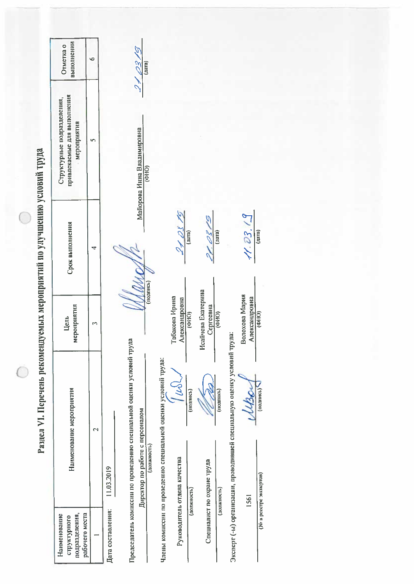|                                                                          | выполнении<br>Отметка о                                                  | $\circ$                  | (r<br>$\overline{(\text{max})}$                                                                                                      |                                                                                                                                                                                                |
|--------------------------------------------------------------------------|--------------------------------------------------------------------------|--------------------------|--------------------------------------------------------------------------------------------------------------------------------------|------------------------------------------------------------------------------------------------------------------------------------------------------------------------------------------------|
|                                                                          | привлекаемые для выполнения<br>Структурные подразделения,<br>мероприятия | S                        | $\mathcal{O}$<br>Майорова Инна Владимировна<br>$\frac{1}{2}$                                                                         |                                                                                                                                                                                                |
|                                                                          | Срок выполнения                                                          | 4                        |                                                                                                                                      | $\overline{9}$<br>11.03.<br>$\sqrt{\tan \theta}$<br>$\frac{2}{\sqrt{2}}$<br>(nn)<br>(nara)<br>U                                                                                                |
|                                                                          | мероприятия<br>Цель                                                      | $\overline{\phantom{a}}$ | (подпись)                                                                                                                            | Исайчева Екатерина<br>Волохова Мария<br>Табакова Ирина<br>Александровна<br>Александровна<br>Cepreeana<br>$\frac{1}{(0 A 0)}$<br>$\overline{(\phi t)}$<br>$\overline{(QHAO)}$                   |
| Раздел VI. Перечень рекомендуемых мероприятий по улучшению условий труда | Нанменование мероприятия                                                 | $\mathbf{C}$             | Председатель комиссии по проведению специальной оценки условий труда<br>Директор по работе с персоналом<br>(должность)<br>11.03.2019 | Эксперт (-ы) организации, проводившей специальную оценку условий труда<br>Члены комиссии по проведению специальной оценки условий труда:<br>(1021111Cb)<br>$($ подпись $)$<br>$(110$ $RINIC1)$ |
|                                                                          | подразделения,<br>рабочего места<br>Наименование<br>структурного         | $\overline{\phantom{0}}$ | Дата составления:                                                                                                                    | Руководитель отдела качества<br>Специалист по охране труда<br>(No в ресстре экспертов)<br>(должность)<br>(должность)<br>1561                                                                   |